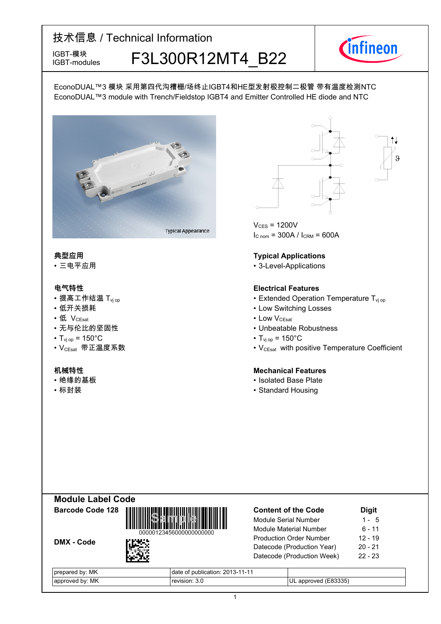### 技术信息 / Technical Information IGBT-模块<br>IGBT-modules F3L300R12MT4 B22 IGBT-modules



 $\theta$  |

EconoDUAL™3 模块 采用第四代沟槽栅/场终止IGBT4和HE型发射极控制二极管 带有温度检测NTC EconoDUAL™3 module with Trench/Fieldstop IGBT4 and Emitter Controlled HE diode and NTC



- 提高工作结温 T<sub>vj</sub>
- •低开关损耗
- 低
- 无与伦比的坚固性
- $T_{\text{vj}}$  op = 150°C T<sub>vj</sub>
- VCEsat--带正温度系数 VCEsat-

- 绝缘的基板
- 



 $V_{CFS}$  = 1200V  $I_{C \text{ nom}} = 300A / I_{CRM} = 600A$ 

#### **典型应用 Typical-Applications**

• 三电平应用 • 3-Level-Applications

#### **电气特性 Electrical-Features**

- op 1996 Extended Operation-Temperature-T<sub>vj op</sub> 1997 Anne 1997 Stended-Operation-Temperature-T<sub>vj op</sub>
	- Switching Losses
- V<sub>CEsat</sub> Low • Low V<sub>CEsat</sub>
	- Unbeatable Robustness
	- $_{\text{op}}$  = 150 $^{\circ}$ C
	- with positive Temperature Coefficient

#### **机械特性 Mechanical-Features**

- Base-Plate
- 标封装 Standard Housing





DMX - Code



| <b>Content of the Code</b>     | <b>Digit</b> |
|--------------------------------|--------------|
| Module Serial Number           | $1 - 5$      |
| <b>Module Material Number</b>  | 6 - 11       |
| <b>Production Order Number</b> | $12 - 19$    |
| Datecode (Production Year)     | $20 - 21$    |
| Datecode (Production Week)     | $22 - 23$    |
|                                |              |

| МK<br>. hv·<br>. .<br>жı<br>- | 201'<br>oublication:<br>ualt<br>ال<br>: –ר<br>ı – ı |                           |
|-------------------------------|-----------------------------------------------------|---------------------------|
| МK<br>hv:<br>nn<br>MPC        | $\sim$<br>.sior<br>.                                | いつつに<br>Ш<br>$-0o$<br>10c |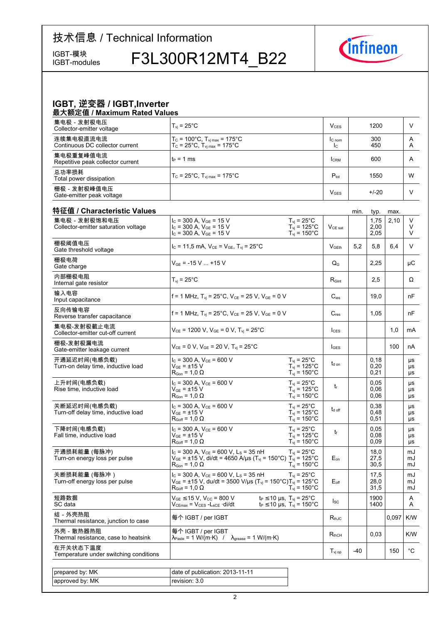IGBT-modules

# IGBT-模块 F3L300R12MT4\_B22



### **IGBT,-逆变器-/-IGBT,Inverter**

| 最大额定值 / Maximum Rated Values                   |                                                                                                         |                          |            |        |
|------------------------------------------------|---------------------------------------------------------------------------------------------------------|--------------------------|------------|--------|
| 集电极 - 发射极电压<br>Collector-emitter voltage       | $T_{\rm vi}$ = 25 $^{\circ}$ C                                                                          | V <sub>CES</sub>         | 1200       |        |
| 连续集电极直流电流<br>Continuous DC collector current   | $T_c$ = 100°C, $T_{\rm vi \, max}$ = 175°C<br>$T_c = 25^{\circ}$ C, $T_{\text{vinnax}} = 175^{\circ}$ C | IC <sub>nom</sub><br>Ic. | 300<br>450 | A<br>A |
| 集电极重复峰值电流<br>Repetitive peak collector current | $t_P = 1$ ms                                                                                            | <b>ICRM</b>              | 600        | A      |
| 总功率损耗<br>Total power dissipation               | $T_c = 25^{\circ}$ C, $T_{\text{vi max}} = 175^{\circ}$ C                                               | $P_{\text{tot}}$         | 1550       | W      |
| 栅极 - 发射极峰值电压<br>Gate-emitter peak voltage      |                                                                                                         | V <sub>GES</sub>         | $+/-20$    |        |

| 特征值 / Characteristic Values                           |                                                                                                                                                                                                |                                                                                       |                           | min.  | typ.                 | max.  |                       |
|-------------------------------------------------------|------------------------------------------------------------------------------------------------------------------------------------------------------------------------------------------------|---------------------------------------------------------------------------------------|---------------------------|-------|----------------------|-------|-----------------------|
| 集电极 - 发射极饱和电压<br>Collector-emitter saturation voltage | $I_C$ = 300 A, $V_{GE}$ = 15 V<br>$I_C$ = 300 A, $V_{GE}$ = 15 V<br>$I_c$ = 300 A, $V_{GE}$ = 15 V                                                                                             | $T_{vi}$ = 25°C<br>$T_{\text{vj}}$ = 125°C<br>$T_{vi}$ = 150 $^{\circ}$ C             | $V_{CE\ sat}$             |       | 1,75<br>2,00<br>2,05 | 2,10  | V<br>V<br>V           |
| 栅极阈值电压<br>Gate threshold voltage                      | $I_c = 11,5 \text{ mA}, V_{CE} = V_{GE}, T_{vi} = 25^{\circ} \text{C}$                                                                                                                         |                                                                                       | V <sub>GFth</sub>         | 5.2   | 5.8                  | 6.4   | V                     |
| 栅极电荷<br>Gate charge                                   | $V_{GE}$ = -15 V  +15 V                                                                                                                                                                        |                                                                                       | $\mathsf{Q}_{\mathsf{G}}$ |       | 2,25                 |       | $\mu$ C               |
| 内部栅极电阻<br>Internal gate resistor                      | $T_{vi}$ = 25°C                                                                                                                                                                                |                                                                                       | $R_{\text{Gint}}$         |       | 2,5                  |       | $\Omega$              |
| 输入电容<br>Input capacitance                             | f = 1 MHz, $T_{vi}$ = 25°C, $V_{CE}$ = 25 V, $V_{GE}$ = 0 V                                                                                                                                    |                                                                                       | $C_{\text{ies}}$          |       | 19,0                 |       | nF                    |
| 反向传输电容<br>Reverse transfer capacitance                | f = 1 MHz, $T_{vi}$ = 25°C, $V_{CE}$ = 25 V, $V_{GE}$ = 0 V                                                                                                                                    |                                                                                       | $C_{res}$                 |       | 1,05                 |       | nF                    |
| 集电极-发射极截止电流<br>Collector-emitter cut-off current      | $V_{CE}$ = 1200 V, $V_{GE}$ = 0 V, $T_{vj}$ = 25°C                                                                                                                                             |                                                                                       | ICES                      |       |                      | 1.0   | mA                    |
| 栅极-发射极漏电流<br>Gate-emitter leakage current             | $V_{CE}$ = 0 V, $V_{GE}$ = 20 V, T <sub>vi</sub> = 25°C                                                                                                                                        |                                                                                       | <b>I</b> GES              |       |                      | 100   | nA                    |
| 开通延迟时间(电感负载)<br>Turn-on delay time, inductive load    | $I_C$ = 300 A, $V_{CE}$ = 600 V<br>$V_{GF} = \pm 15 V$<br>$R_{\text{Gon}} = 1.0 \Omega$                                                                                                        | $T_{\rm vj} = 25^{\circ} \text{C}$<br>$T_{vi}$ = 125°C<br>$T_{vi}$ = 150 $^{\circ}$ C | $t_{\text{d}}$ on         |       | 0,18<br>0,20<br>0,21 |       | μs<br><b>US</b><br>μs |
| 上升时间(电感负载)<br>Rise time, inductive load               | $I_C$ = 300 A, $V_{CE}$ = 600 V<br>$V_{GF} = \pm 15 V$<br>$\mathsf{R}_{\mathsf{Gon}}$ = 1,0 $\Omega$                                                                                           | $T_{\rm vj}$ = 25°C<br>$T_{vi}$ = 125°C<br>$T_{vi} = 150^{\circ}$ C                   | t                         |       | 0.05<br>0,06<br>0,06 |       | <b>US</b><br>μs<br>μs |
| 关断延迟时间(电感负载)<br>Turn-off delay time, inductive load   | $I_C$ = 300 A, $V_{CE}$ = 600 V<br>$V_{GF}$ = $\pm 15$ V<br>$R_{Goff}$ = 1,0 $\Omega$                                                                                                          | $T_{\rm vj}$ = 25°C<br>$T_{\text{vj}}$ = 125°C<br>$T_{vi}$ = 150 $^{\circ}$ C         | $t_{d \text{ off}}$       |       | 0.38<br>0.48<br>0,51 |       | <b>US</b><br>μs<br>μs |
| 下降时间(电感负载)<br>Fall time, inductive load               | $I_c$ = 300 A, $V_{CE}$ = 600 V<br>$V_{GF}$ = ±15 V<br>$R_{Goff}$ = 1,0 $\Omega$                                                                                                               | $T_{vi}$ = 25 $^{\circ}$ C<br>$T_{vi} = 125^{\circ}$ C<br>$T_{vi}$ = 150 $^{\circ}$ C | t                         |       | 0.05<br>0,08<br>0.09 |       | μs<br>μs<br>μs        |
| 开通损耗能量 (每脉冲)<br>Turn-on energy loss per pulse         | $I_C$ = 300 A, $V_{CE}$ = 600 V, L <sub>S</sub> = 35 nH<br>$V_{GE}$ = ±15 V, di/dt = 4650 A/µs (T <sub>vi</sub> = 150°C) T <sub>vi</sub> = 125°C<br>$\mathsf{R}_{\mathsf{Gon}}$ = 1,0 $\Omega$ | $T_{vi}$ = 25 $^{\circ}$ C<br>$T_{vi}$ = 150 $^{\circ}$ C                             | $E_{on}$                  |       | 18,0<br>27,5<br>30,5 |       | mJ<br>mJ<br>mJ        |
| 关断损耗能量 (每脉冲 )<br>Turn-off energy loss per pulse       | $I_c$ = 300 A, $V_{cF}$ = 600 V, L <sub>S</sub> = 35 nH<br>$V_{GE}$ = ±15 V, du/dt = 3500 V/µs (T <sub>vj</sub> = 150°C)T <sub>vj</sub> = 125°C<br>$\mathsf{R}_{\mathsf{Goff}}$ = 1,0 $\Omega$ | $T_{vi} = 25^{\circ}$ C<br>$T_{vi} = 150^{\circ}$ C                                   | $E_{\text{off}}$          |       | 17,5<br>28,0<br>31,5 |       | mJ<br>mJ<br>mJ        |
| 短路数据<br>SC data                                       | $V_{GE}$ $\leq$ 15 V, V <sub>CC</sub> = 800 V<br>$V_{CEmax}$ = $V_{CES}$ - $L_{sCE}$ ·di/dt                                                                                                    | $t_P \le 10$ µs, $T_{vi} = 25^{\circ}$ C<br>$t_P \le 10$ µs, $T_{vi} = 150^{\circ}$ C | $I_{SC}$                  |       | 1900<br>1400         |       | A<br>Α                |
| 结 - 外壳热阻<br>Thermal resistance, junction to case      | 每个 IGBT / per IGBT                                                                                                                                                                             |                                                                                       | $R_{thJC}$                |       |                      | 0,097 | K/W                   |
| 外壳 - 散热器热阻<br>Thermal resistance, case to heatsink    | 每个 IGBT / per IGBT<br>$\lambda_{\text{Paste}} = 1 \text{ W/(m·K)}$ / $\lambda_{\text{grease}} = 1 \text{ W/(m·K)}$                                                                             |                                                                                       | $R_{thCH}$                |       | 0,03                 |       | K/W                   |
| 在开关状态下温度<br>Temperature under switching conditions    |                                                                                                                                                                                                |                                                                                       | $T_{\rm vj~op}$           | $-40$ |                      | 150   | $^{\circ}$ C          |
|                                                       |                                                                                                                                                                                                |                                                                                       |                           |       |                      |       |                       |
| prepared by: MK                                       | date of publication: 2013-11-11                                                                                                                                                                |                                                                                       |                           |       |                      |       |                       |
| approved by: MK                                       | revision: 3.0                                                                                                                                                                                  |                                                                                       |                           |       |                      |       |                       |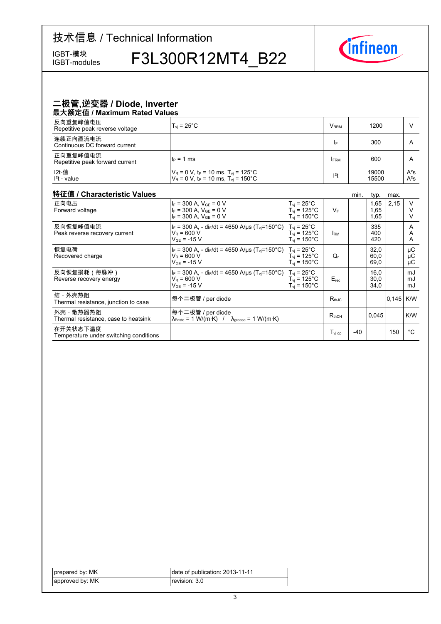IGBT-modules

IGBT-模块 F3L300R12MT4\_B22



#### 二极管,逆变器 / Diode, Inverter 最大额定值 / Maximum Rated Values

| 4X/\8XALIE/ INQAIIIIQIII I\QLCQ VQIQCO      |                                                                                                                                       |                     |               |                      |                  |
|---------------------------------------------|---------------------------------------------------------------------------------------------------------------------------------------|---------------------|---------------|----------------------|------------------|
| 反向重复峰值电压<br>Repetitive peak reverse voltage | $T_{vi}$ = 25 $^{\circ}$ C                                                                                                            |                     | $V_{\rm RRM}$ | 1200                 |                  |
| 连续正向直流电流<br>Continuous DC forward current   |                                                                                                                                       |                     | I۴            | 300                  | A                |
| 正向重复峰值电流<br>Repetitive peak forward current | l t∍ = 1 ms                                                                                                                           |                     | <b>FRM</b>    | 600                  | A                |
| I2t-值<br>$l2t$ - value                      | $V_R$ = 0 V, t <sub>P</sub> = 10 ms, T <sub>vj</sub> = 125°C<br>V <sub>R</sub> = 0 V, t <sub>P</sub> = 10 ms, T <sub>vj</sub> = 150°C |                     | $ ^{2}t$      | 19000<br>15500       | $A^2S$<br>$A^2S$ |
| 特征值 / Characteristic Values                 |                                                                                                                                       |                     |               | min.<br>typ.<br>max. |                  |
| 正向电压                                        | $I_F = 300$ A. $V_{GF} = 0$ V                                                                                                         | $T_{\rm vi}$ = 25°C |               | 2.15<br>. 65         |                  |

| 正向电压<br>Forward voltage                            | $I_F = 300$ A, $V_{GE} = 0$ V<br>$I_F = 300$ A, $V_{GE} = 0$ V<br>$I_F = 300$ A, $V_{GF} = 0$ V                                       | $T_{vi}$ = 25°C<br>$T_{vi}$ = 125°C<br>$T_{\text{vi}}$ = 150 $^{\circ}$ C | $V_F$                 |     | 1,65<br>1,65<br>1,65 | 2,15        | $\vee$<br>v<br>V |
|----------------------------------------------------|---------------------------------------------------------------------------------------------------------------------------------------|---------------------------------------------------------------------------|-----------------------|-----|----------------------|-------------|------------------|
| 反向恢复峰值电流<br>Peak reverse recovery current          | $I_F = 300$ A, - di <sub>F</sub> /dt = 4650 A/us (T <sub>vi</sub> =150°C) T <sub>vi</sub> = 25°C<br>$V_R = 600 V$<br>$V_{GF}$ = -15 V | $T_{\rm vi}$ = 125°C<br>$T_{vi}$ = 150 $^{\circ}$ C                       | <b>IRM</b>            |     | 335<br>400<br>420    |             | A<br>A<br>A      |
| 恢复电荷<br>Recovered charge                           | $I_F = 300$ A, - dir/dt = 4650 A/us (T <sub>vi</sub> =150°C) T <sub>vi</sub> = 25°C<br>$V_R$ = 600 V<br>$V_{GF}$ = -15 V              | $T_{vi}$ = 125°C<br>$T_{vi}$ = 150 $^{\circ}$ C                           | Q,                    |     | 32,0<br>60,0<br>69,0 |             | μC<br>μC<br>μC   |
| 反向恢复损耗(每脉冲)<br>Reverse recovery energy             | $I_F = 300$ A, - di <sub>F</sub> /dt = 4650 A/us (T <sub>vi</sub> =150°C) T <sub>vi</sub> = 25°C<br>$V_R$ = 600 V<br>$V_{GF}$ = -15 V | $T_{vi}$ = 125°C<br>$T_{vi}$ = 150 $^{\circ}$ C                           | $E_{rec}$             |     | 16.0<br>30,0<br>34,0 |             | mJ<br>mJ<br>mJ   |
| 结-外壳热阻<br>Thermal resistance, junction to case     | 每个二极管 / per diode                                                                                                                     |                                                                           | $R_{thJC}$            |     |                      | $0,145$ K/W |                  |
| 外壳 - 散热器热阻<br>Thermal resistance, case to heatsink | 每个二极管 / per diode<br>$\lambda_{\text{Paste}} = 1 \text{ W/(m·K)}$ / $\lambda_{\text{grease}} = 1 \text{ W/(m·K)}$                     |                                                                           | $R_{thCH}$            |     | 0.045                |             | K/W              |
| 在开关状态下温度<br>Temperature under switching conditions |                                                                                                                                       |                                                                           | $T_{\mathsf{vi\ op}}$ | -40 |                      | 150         | °C               |

| prepared by: MK | date of publication: 2013-11-11 |
|-----------------|---------------------------------|
| approved by: MK | revision: 3.0 l                 |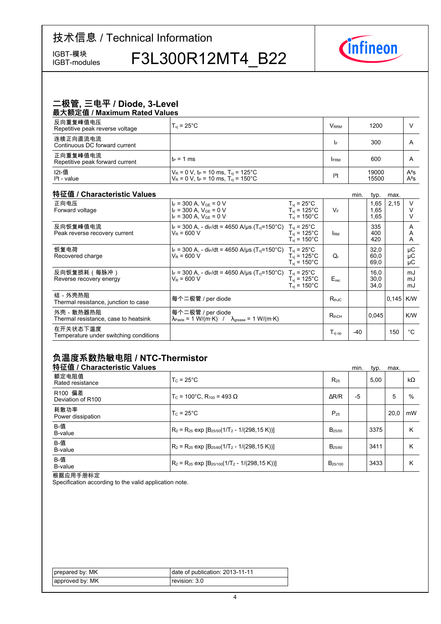IGBT-modules

IGBT-模块<br>IGBT-modules F3L300R12MT4\_B22



### <u>二极管, 三电平 / Diode, 3-Level</u>

| 最大额定值 / Maximum Rated Values                |                                                                                                                        |                         |                |                  |  |  |  |  |  |
|---------------------------------------------|------------------------------------------------------------------------------------------------------------------------|-------------------------|----------------|------------------|--|--|--|--|--|
| 反向重复峰值电压<br>Repetitive peak reverse voltage | $T_{\rm vi}$ = 25 $^{\circ}$ C                                                                                         | <b>V</b> <sub>RRM</sub> | 1200           |                  |  |  |  |  |  |
| 连续正向直流电流<br>Continuous DC forward current   |                                                                                                                        | I۴                      | 300            | A                |  |  |  |  |  |
| 正向重复峰值电流<br>Repetitive peak forward current | $t_P = 1$ ms                                                                                                           | <b>FRM</b>              | 600            | A                |  |  |  |  |  |
| I2t-值<br>$l2t - value$                      | $V_R = 0 V$ , t <sub>p</sub> = 10 ms, T <sub>vi</sub> = 125°C<br>$V_R = 0 V$ , $t_P = 10$ ms, $T_{vi} = 150^{\circ}$ C | $ ^{2}t$                | 19000<br>15500 | $A^2S$<br>$A^2S$ |  |  |  |  |  |

#### 特征值 / Characteristic

| 特征值 / Characteristic Values                        |                                                                                                                   |                                                                         |                  | min. | typ.                 | max.  |                |
|----------------------------------------------------|-------------------------------------------------------------------------------------------------------------------|-------------------------------------------------------------------------|------------------|------|----------------------|-------|----------------|
| 正向电压<br>Forward voltage                            | $I_F = 300$ A, $V_{GE} = 0$ V<br>$I_F = 300$ A, $V_{GF} = 0$ V<br>$I_F = 300$ A, $V_{GF} = 0$ V                   | $T_{vi}$ = 25°C<br>$T_{vi}$ = 125°C<br>$T_{vi}$ = 150 $^{\circ}$ C      | $V_F$            |      | 1,65<br>1,65<br>1,65 | 2,15  | V              |
| 反向恢复峰值电流<br>Peak reverse recovery current          | $I_F$ = 300 A, - di <sub>F</sub> /dt = 4650 A/µs (T <sub>vi</sub> =150°C)<br>$V_R = 600 V$                        | $T_{vi}$ = 25°C<br>$T_{vi}$ = 125 $^{\circ}$ C<br>$T_{\rm vi}$ = 150°C. | <b>I</b> RM      |      | 335<br>400<br>420    |       | A<br>A<br>A    |
| 恢复电荷<br>Recovered charge                           | $I_F = 300$ A, - dir/dt = 4650 A/us (T <sub>vi</sub> =150°C) T <sub>vi</sub> = 25°C<br>$V_R$ = 600 V              | $T_{\rm vi}$ = 125°C<br>$T_{vi}$ = 150 $^{\circ}$ C                     | Q,               |      | 32,0<br>60,0<br>69,0 |       | μC<br>μC<br>μC |
| 反向恢复损耗(每脉冲)<br>Reverse recovery energy             | $I_F = 300$ A, - di <sub>F</sub> /dt = 4650 A/us (T <sub>vi</sub> =150°C) T <sub>vi</sub> = 25°C<br>$V_R$ = 600 V | $T_{vi}$ = 125°C<br>$T_{\rm vi}$ = 150°C                                | $E_{rec}$        |      | 16.0<br>30,0<br>34,0 |       | mJ<br>mJ<br>mJ |
| 结-外壳热阳<br>Thermal resistance, junction to case     | 每个二极管 / per diode                                                                                                 |                                                                         | $R_{thJC}$       |      |                      | 0,145 | K/W            |
| 外壳 - 散热器热阻<br>Thermal resistance, case to heatsink | 每个二极管 / per diode<br>$\lambda_{\text{Paste}} = 1 \text{ W/(m·K)}$ / $\lambda_{\text{grease}} = 1 \text{ W/(m·K)}$ |                                                                         | $R_{thCH}$       |      | 0,045                |       | K/W            |
| 在开关状态下温度<br>Temperature under switching conditions |                                                                                                                   |                                                                         | $T_{\rm vi\,op}$ | -40  |                      | 150   | °C             |

#### 负温度系数热敏电阻 / NTC-Thermistor

| 特征值 / Characteristic Values  |                                                          |                     | min. | typ. | max. |           |
|------------------------------|----------------------------------------------------------|---------------------|------|------|------|-----------|
| 额定电阻值<br>Rated resistance    | $T_c = 25^{\circ}$ C                                     | $R_{25}$            |      | 5.00 |      | $k\Omega$ |
| R100 偏差<br>Deviation of R100 | $T_c$ = 100°C. R <sub>100</sub> = 493 Ω                  | $\Delta$ R/R        | $-5$ |      | 5    | $\%$      |
| 耗散功率<br>Power dissipation    | $T_c = 25^{\circ}$ C                                     | $P_{25}$            |      |      | 20.0 | mW        |
| B-值<br>B-value               | $R_2 = R_{25}$ exp $[B_{25/50}(1/T_2 - 1/(298, 15 K))]$  | $B_{25/50}$         |      | 3375 |      | Κ         |
| B-值<br>B-value               | $R_2 = R_{25}$ exp $[B_{25/80}(1/T_2 - 1/(298, 15 K))]$  | B <sub>25/80</sub>  |      | 3411 |      | Κ         |
| B-值<br>B-value               | $R_2 = R_{25}$ exp $[B_{25/100}(1/T_2 - 1/(298, 15 K))]$ | B <sub>25/100</sub> |      | 3433 |      | Κ         |

根据应用手册标定

Specification according to the valid application note.

| prepared by: MK | date of publication: 2013-11-11 |
|-----------------|---------------------------------|
| approved by: MK | revision: 3.0 l                 |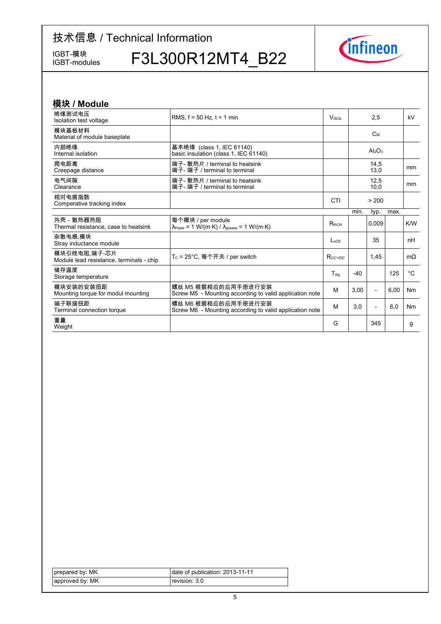IGBT-模块<br>IGBT-modules

F3L300R12MT4\_B22



| 模块 / Module                                              |                                                                                                                 |                  |       |                          |      |                |
|----------------------------------------------------------|-----------------------------------------------------------------------------------------------------------------|------------------|-------|--------------------------|------|----------------|
| 绝缘测试电压<br>Isolation test voltage                         | RMS. $f = 50$ Hz. $t = 1$ min                                                                                   | <b>V</b> isor    |       | 2,5                      |      | kV             |
| 模块基板材料<br>Material of module baseplate                   |                                                                                                                 |                  |       | Cu                       |      |                |
| 内部绝缘<br>Internal isolation                               | 基本绝缘 (class 1, IEC 61140)<br>basic insulation (class 1, IEC 61140)                                              |                  |       | $Al_2O_3$                |      |                |
| 爬电距离<br>Creepage distance                                | 端子- 散热片 / terminal to heatsink<br>端子- 端子 / terminal to terminal                                                 |                  |       | 14,5<br>13,0             |      | <sub>mm</sub>  |
| 电气间隙<br>Clearance                                        | 端子- 散热片 / terminal to heatsink<br>端子- 端子 / terminal to terminal                                                 |                  |       | 12,5<br>10,0             |      | <sub>mm</sub>  |
| 相对电痕指数<br>Comperative tracking index                     |                                                                                                                 | <b>CTI</b>       |       | > 200                    |      |                |
|                                                          |                                                                                                                 |                  | min.  | typ.                     | max. |                |
| 外壳 - 散热器热阻<br>Thermal resistance, case to heatsink       | 每个模块 / per module<br>$\lambda_{\text{Paste}} = 1 \text{ W/(m·K)} / \lambda_{\text{grease}} = 1 \text{ W/(m·K)}$ | $R_{thCH}$       |       | 0.009                    |      | K/W            |
| 杂散电感 模块<br>Stray inductance module                       |                                                                                                                 | $L_{\text{sCE}}$ |       | 35                       |      | nH             |
| 模块引线电阻 端子-芯片<br>Module lead resistance, terminals - chip | T <sub>C</sub> = 25°C, 每个开关 / per switch                                                                        | $R_{CC' + FF'}$  |       | 1.45                     |      | $m\Omega$      |
| 储存温度<br>Storage temperature                              |                                                                                                                 | $T_{\text{stg}}$ | $-40$ |                          | 125  | $^{\circ}C$    |
| 模块安装的安装扭距<br>Mounting torque for modul mounting          | 螺丝 M5 根据相应的应用手册进行安装<br>Screw M5 - Mounting according to valid application note                                  | м                | 3,00  | $\overline{\phantom{a}}$ | 6,00 | N <sub>m</sub> |
| 端子联接扭距<br>Terminal connection torque                     | 螺丝 M6 根据相应的应用手册进行安装<br>Screw M6 - Mounting according to valid application note                                  | M                | 3,0   | $\overline{\phantom{0}}$ | 6,0  | <b>Nm</b>      |
| 重量<br>Weight                                             |                                                                                                                 | G                |       | 345                      |      | g              |

| prepared by: MK | date of publication: 2013-11-11 |
|-----------------|---------------------------------|
| approved by: MK | revision: 3.0 l                 |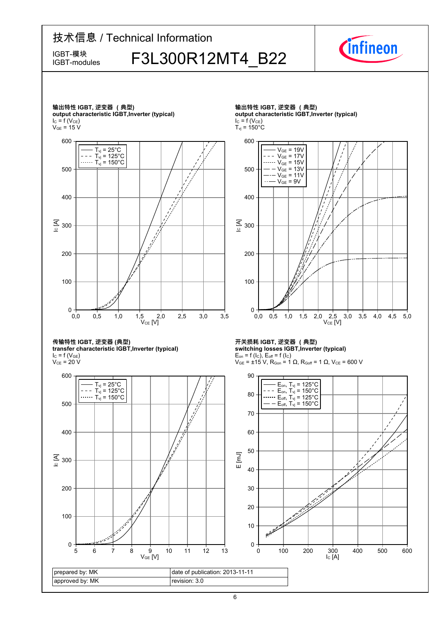## 技术信息 / Technical Information  $F_{\text{IBBT-modeles}}^{\text{IBBT-##}}$  F3L300R12MT4 B22 IGBT-modules





传输特性 IGBT, 逆变器 (典型) **transfer-characteristic-IGBT,Inverter-(typical)**

 $I_{C}$  = f (V<sub>GE</sub>)  $\rm V_{CE}$  = 20 V



输出特性 IGBT, 逆变器 (典型) **output-characteristic-IGBT,Inverter-(typical)**  $I_C = f(V_{CE})$ 



**开关损耗-IGBT,-逆变器-(典型) switching-losses-IGBT,Inverter-(typical)**  $E_{on}$  = f (l<sub>C</sub>),  $E_{off}$  = f (l<sub>C</sub>)



IC [A]

 $V_{GE}$  = ±15 V, R<sub>Gon</sub> = 1  $\Omega$ , R<sub>Goff</sub> = 1  $\Omega$ , V<sub>CE</sub> = 600 V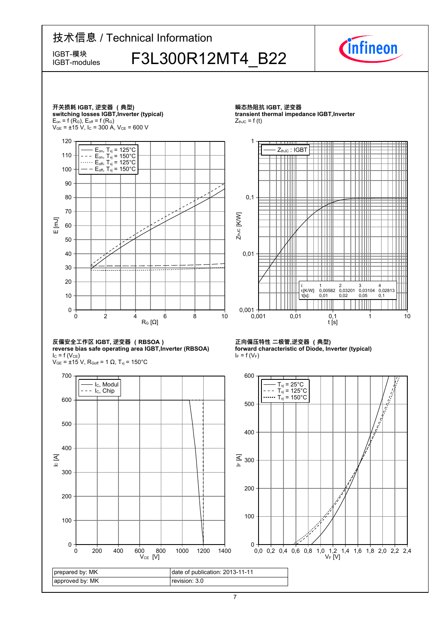## 技术信息 / Technical Information  $F_{\text{IBBT-modeles}}^{\text{IBBT-##}}$  F3L300R12MT4 B22 IGBT-modules



π

╫ Ш

⊞

4 0,02813 0,1



**forward characteristic of Diode, Inverter (typical)** 

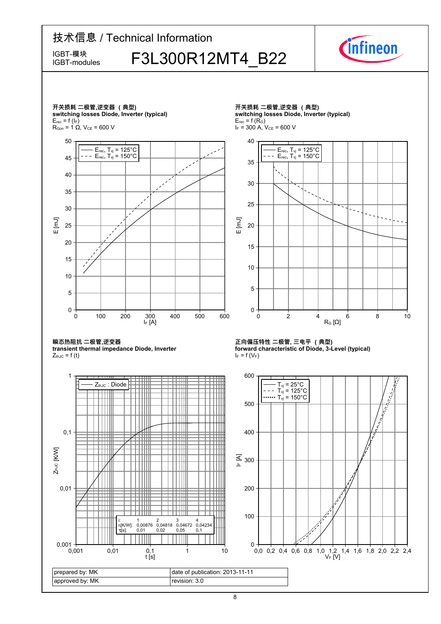## 技术信息 / Technical Information  $F_{\text{IBBT-modeles}}^{\text{IBBT-##}}$  F3L300R12MT4 B22 IGBT-modules



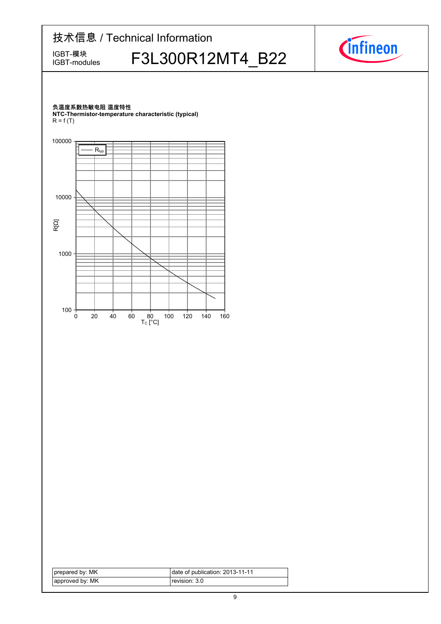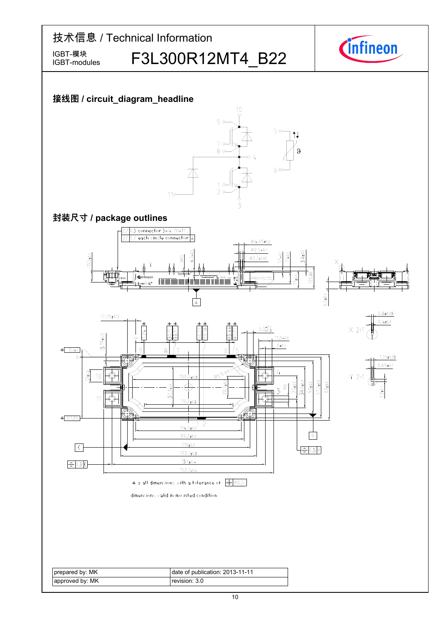